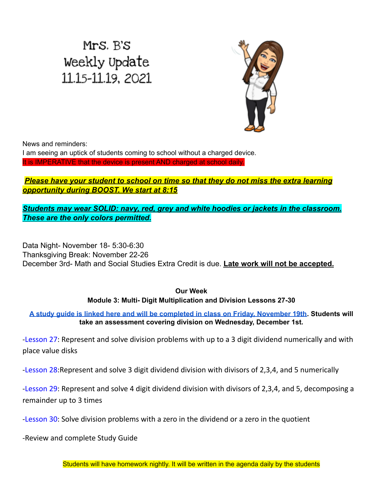# Mrs. B's Weekly Update 11.15-11.19, 2021



News and reminders:

I am seeing an uptick of students coming to school without a charged device. It is IMPERATIVE that the device is present AND charged at school daily.

### *Please have your student to school on time so that they do not miss the extra learning opportunity during BOOST. We start at 8:15*

*Students may wear SOLID: navy, red, grey and white hoodies or jackets in the classroom. These are the only colors permitted.*

Data Night- November 18- 5:30-6:30 Thanksgiving Break: November 22-26 December 3rd- Math and Social Studies Extra Credit is due. **Late work will not be accepted.**

#### **Our Week Module 3: Multi- Digit Multiplication and Division Lessons 27-30**

A study quide is linked here and will be [completed](https://drive.google.com/file/d/1uwEOoBRugXYohL62qJKjMuHn9DxpJfv8/view?usp=sharing) in class on Friday, November 19th. Students will **take an assessment covering division on Wednesday, December 1st.**

-Lesson 27: Represent and solve division problems with up to a 3 digit dividend numerically and with place value disks

-Lesson 28:Represent and solve 3 digit dividend division with divisors of 2,3,4, and 5 numerically

-Lesson 29: Represent and solve 4 digit dividend division with divisors of 2,3,4, and 5, decomposing a remainder up to 3 times

-Lesson 30: Solve division problems with a zero in the dividend or a zero in the quotient

-Review and complete Study Guide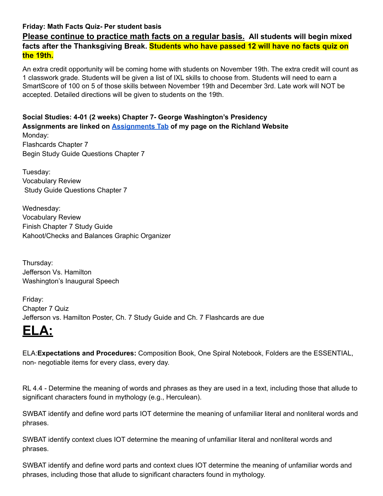#### **Friday: Math Facts Quiz- Per student basis**

**Please continue to practice math facts on a regular basis. All students will begin mixed facts after the Thanksgiving Break. Students who have passed 12 will have no facts quiz on the 19th.**

An extra credit opportunity will be coming home with students on November 19th. The extra credit will count as 1 classwork grade. Students will be given a list of IXL skills to choose from. Students will need to earn a SmartScore of 100 on 5 of those skills between November 19th and December 3rd. Late work will NOT be accepted. Detailed directions will be given to students on the 19th.

**Social Studies: 4-01 (2 weeks) Chapter 7- George Washington's Presidency Assignments are linked on [Assignments](https://schools.scsk12.org/Page/14428) Tab of my page on the Richland Website** Monday: Flashcards Chapter 7 Begin Study Guide Questions Chapter 7

Tuesday: Vocabulary Review Study Guide Questions Chapter 7

Wednesday: Vocabulary Review Finish Chapter 7 Study Guide Kahoot/Checks and Balances Graphic Organizer

Thursday: Jefferson Vs. Hamilton Washington's Inaugural Speech

Friday: Chapter 7 Quiz Jefferson vs. Hamilton Poster, Ch. 7 Study Guide and Ch. 7 Flashcards are due

## **ELA:**

ELA:**Expectations and Procedures:** Composition Book, One Spiral Notebook, Folders are the ESSENTIAL, non- negotiable items for every class, every day.

RL 4.4 - Determine the meaning of words and phrases as they are used in a text, including those that allude to significant characters found in mythology (e.g., Herculean).

SWBAT identify and define word parts IOT determine the meaning of unfamiliar literal and nonliteral words and phrases.

SWBAT identify context clues IOT determine the meaning of unfamiliar literal and nonliteral words and phrases.

SWBAT identify and define word parts and context clues IOT determine the meaning of unfamiliar words and phrases, including those that allude to significant characters found in mythology.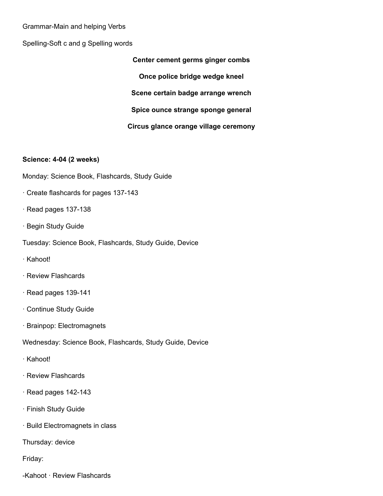#### Grammar-Main and helping Verbs

Spelling-Soft c and g Spelling words

**Center cement germs ginger combs Once police bridge wedge kneel Scene certain badge arrange wrench Spice ounce strange sponge general Circus glance orange village ceremony**

#### **Science: 4-04 (2 weeks)**

Monday: Science Book, Flashcards, Study Guide

- · Create flashcards for pages 137-143
- · Read pages 137-138
- · Begin Study Guide
- Tuesday: Science Book, Flashcards, Study Guide, Device
- · Kahoot!
- · Review Flashcards
- · Read pages 139-141
- · Continue Study Guide
- · Brainpop: Electromagnets

Wednesday: Science Book, Flashcards, Study Guide, Device

- · Kahoot!
- · Review Flashcards
- · Read pages 142-143
- · Finish Study Guide
- · Build Electromagnets in class

Thursday: device

Friday:

-Kahoot · Review Flashcards